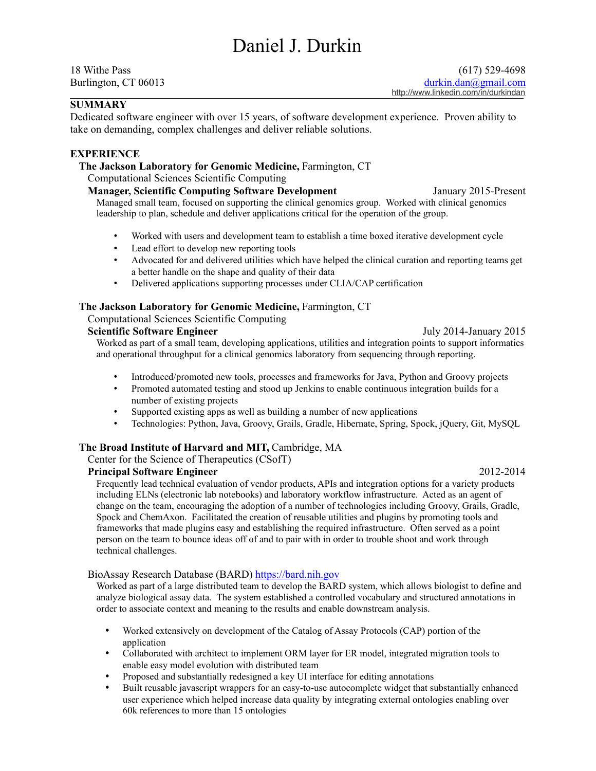# Daniel J. Durkin

# **SUMMARY**

Dedicated software engineer with over 15 years, of software development experience. Proven ability to take on demanding, complex challenges and deliver reliable solutions.

# **EXPERIENCE**

# **The Jackson Laboratory for Genomic Medicine,** Farmington, CT

Computational Sciences Scientific Computing

## **Manager, Scientific Computing Software Development** January 2015-Present

Managed small team, focused on supporting the clinical genomics group. Worked with clinical genomics leadership to plan, schedule and deliver applications critical for the operation of the group.

- Worked with users and development team to establish a time boxed iterative development cycle
- Lead effort to develop new reporting tools
- Advocated for and delivered utilities which have helped the clinical curation and reporting teams get a better handle on the shape and quality of their data
- Delivered applications supporting processes under CLIA/CAP certification

# **The Jackson Laboratory for Genomic Medicine,** Farmington, CT

## Computational Sciences Scientific Computing

# **Scientific Software Engineer Subsetted as a set of the Software Engineer July 2014-January 2015**

Worked as part of a small team, developing applications, utilities and integration points to support informatics and operational throughput for a clinical genomics laboratory from sequencing through reporting.

- Introduced/promoted new tools, processes and frameworks for Java, Python and Groovy projects
- Promoted automated testing and stood up Jenkins to enable continuous integration builds for a number of existing projects
- Supported existing apps as well as building a number of new applications
- Technologies: Python, Java, Groovy, Grails, Gradle, Hibernate, Spring, Spock, jQuery, Git, MySQL

# **The Broad Institute of Harvard and MIT,** Cambridge, MA

Center for the Science of Therapeutics (CSofT)

# **Principal Software Engineer** 2012-2014

Frequently lead technical evaluation of vendor products, APIs and integration options for a variety products including ELNs (electronic lab notebooks) and laboratory workflow infrastructure. Acted as an agent of change on the team, encouraging the adoption of a number of technologies including Groovy, Grails, Gradle, Spock and ChemAxon. Facilitated the creation of reusable utilities and plugins by promoting tools and frameworks that made plugins easy and establishing the required infrastructure. Often served as a point person on the team to bounce ideas off of and to pair with in order to trouble shoot and work through technical challenges.

#### BioAssay Research Database (BARD) [https://bard.nih.gov](https://bard.nih.gov/)

Worked as part of a large distributed team to develop the BARD system, which allows biologist to define and analyze biological assay data. The system established a controlled vocabulary and structured annotations in order to associate context and meaning to the results and enable downstream analysis.

- Worked extensively on development of the Catalog of Assay Protocols (CAP) portion of the application
- Collaborated with architect to implement ORM layer for ER model, integrated migration tools to enable easy model evolution with distributed team
- Proposed and substantially redesigned a key UI interface for editing annotations
- Built reusable javascript wrappers for an easy-to-use autocomplete widget that substantially enhanced user experience which helped increase data quality by integrating external ontologies enabling over 60k references to more than 15 ontologies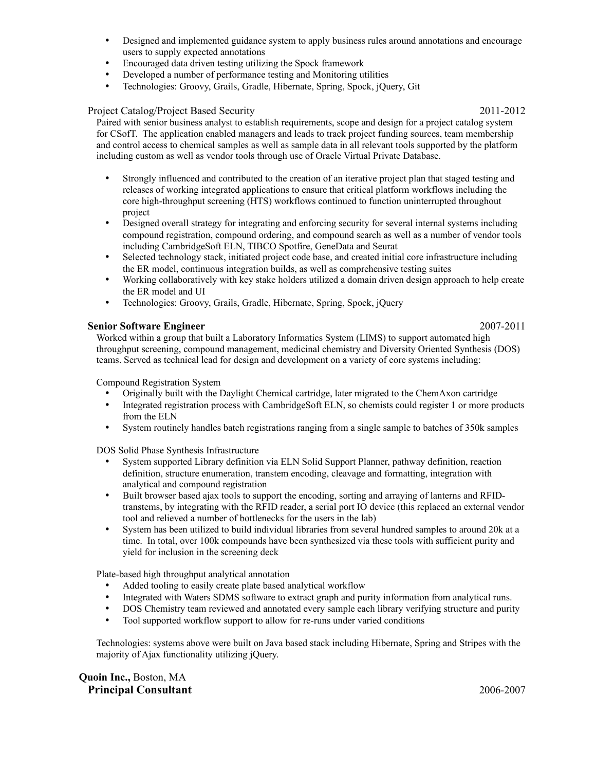- Designed and implemented guidance system to apply business rules around annotations and encourage users to supply expected annotations
- Encouraged data driven testing utilizing the Spock framework
- Developed a number of performance testing and Monitoring utilities
- Technologies: Groovy, Grails, Gradle, Hibernate, Spring, Spock, jQuery, Git

#### Project Catalog/Project Based Security 2011-2012

Paired with senior business analyst to establish requirements, scope and design for a project catalog system for CSofT. The application enabled managers and leads to track project funding sources, team membership and control access to chemical samples as well as sample data in all relevant tools supported by the platform including custom as well as vendor tools through use of Oracle Virtual Private Database.

- Strongly influenced and contributed to the creation of an iterative project plan that staged testing and releases of working integrated applications to ensure that critical platform workflows including the core high-throughput screening (HTS) workflows continued to function uninterrupted throughout project
- Designed overall strategy for integrating and enforcing security for several internal systems including compound registration, compound ordering, and compound search as well as a number of vendor tools including CambridgeSoft ELN, TIBCO Spotfire, GeneData and Seurat
- Selected technology stack, initiated project code base, and created initial core infrastructure including the ER model, continuous integration builds, as well as comprehensive testing suites
- Working collaboratively with key stake holders utilized a domain driven design approach to help create the ER model and UI
- Technologies: Groovy, Grails, Gradle, Hibernate, Spring, Spock, jQuery

#### **Senior Software Engineer** 2007-2011

Worked within a group that built a Laboratory Informatics System (LIMS) to support automated high throughput screening, compound management, medicinal chemistry and Diversity Oriented Synthesis (DOS) teams. Served as technical lead for design and development on a variety of core systems including:

Compound Registration System

- Originally built with the Daylight Chemical cartridge, later migrated to the ChemAxon cartridge
- Integrated registration process with CambridgeSoft ELN, so chemists could register 1 or more products from the ELN
- System routinely handles batch registrations ranging from a single sample to batches of 350k samples

DOS Solid Phase Synthesis Infrastructure

- System supported Library definition via ELN Solid Support Planner, pathway definition, reaction definition, structure enumeration, transtem encoding, cleavage and formatting, integration with analytical and compound registration
- Built browser based ajax tools to support the encoding, sorting and arraying of lanterns and RFIDtranstems, by integrating with the RFID reader, a serial port IO device (this replaced an external vendor tool and relieved a number of bottlenecks for the users in the lab)
- System has been utilized to build individual libraries from several hundred samples to around 20k at a time. In total, over 100k compounds have been synthesized via these tools with sufficient purity and yield for inclusion in the screening deck

Plate-based high throughput analytical annotation

- Added tooling to easily create plate based analytical workflow
- Integrated with Waters SDMS software to extract graph and purity information from analytical runs.
- DOS Chemistry team reviewed and annotated every sample each library verifying structure and purity<br>• Tool supported workflow support to allow for re-runs under varied conditions
- Tool supported workflow support to allow for re-runs under varied conditions

Technologies: systems above were built on Java based stack including Hibernate, Spring and Stripes with the majority of Ajax functionality utilizing jQuery.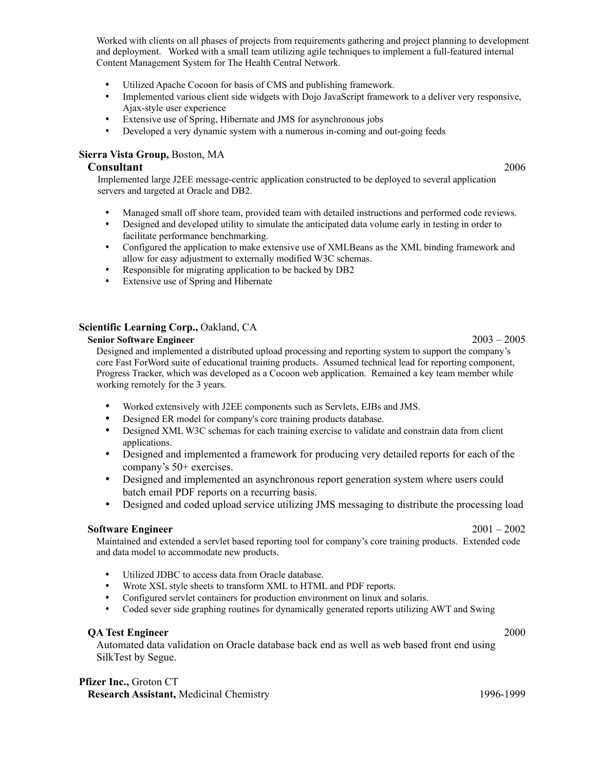Worked with clients on all phases of projects from requirements gathering and project planning to development and deployment. Worked with a small team utilizing agile techniques to implement a full-featured internal Content Management System for The Health Central Network.

- Utilized Apache Cocoon for basis of CMS and publishing framework.
- Implemented various client side widgets with Dojo JavaScript framework to a deliver very responsive, Ajax-style user experience
- Extensive use of Spring, Hibernate and JMS for asynchronous jobs
- Developed a very dynamic system with a numerous in-coming and out-going feeds

# **Sierra Vista Group,** Boston, MA

# **Consultant** 2006

Implemented large J2EE message-centric application constructed to be deployed to several application servers and targeted at Oracle and DB2.

- Managed small off shore team, provided team with detailed instructions and performed code reviews.
- Designed and developed utility to simulate the anticipated data volume early in testing in order to facilitate performance benchmarking.
- Configured the application to make extensive use of XMLBeans as the XML binding framework and allow for easy adjustment to externally modified W3C schemas.
- Responsible for migrating application to be backed by DB2
- Extensive use of Spring and Hibernate

# **Scientific Learning Corp.,** Oakland, CA

#### **Senior Software Engineer** 2003 – 2005

Designed and implemented a distributed upload processing and reporting system to support the company's core Fast ForWord suite of educational training products. Assumed technical lead for reporting component, Progress Tracker, which was developed as a Cocoon web application. Remained a key team member while working remotely for the 3 years.

- Worked extensively with J2EE components such as Servlets, EJBs and JMS.
- Designed ER model for company's core training products database.
- Designed XML W3C schemas for each training exercise to validate and constrain data from client applications.
- Designed and implemented a framework for producing very detailed reports for each of the company's 50+ exercises.
- Designed and implemented an asynchronous report generation system where users could batch email PDF reports on a recurring basis.
- Designed and coded upload service utilizing JMS messaging to distribute the processing load

# **Software Engineer** 2001 – 2002

Maintained and extended a servlet based reporting tool for company's core training products. Extended code and data model to accommodate new products.

- Utilized JDBC to access data from Oracle database.
- Wrote XSL style sheets to transform XML to HTML and PDF reports.
- Configured servlet containers for production environment on linux and solaris.<br>• Coded sever side graphing routines for dynamically generated reports utilizing
- Coded sever side graphing routines for dynamically generated reports utilizing AWT and Swing

#### **QA Test Engineer** 2000

Automated data validation on Oracle database back end as well as web based front end using SilkTest by Segue.

# **Pfizer Inc.,** Groton CT

**Research Assistant,** Medicinal Chemistry 1996-1999 1996-1999